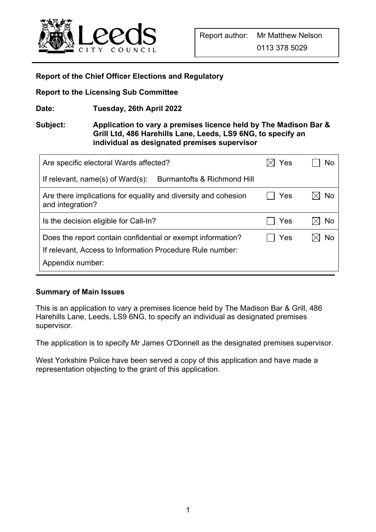

#### **Report of the Chief Officer Elections and Regulatory**

**Report to the Licensing Sub Committee** 

**Date: Tuesday, 26th April 2022** 

#### **Subject: Application to vary a premises licence held by The Madison Bar & Grill Ltd, 486 Harehills Lane, Leeds, LS9 6NG, to specify an individual as designated premises supervisor**

| Are specific electoral Wards affected?                                             | Yes | No |
|------------------------------------------------------------------------------------|-----|----|
| If relevant, name(s) of $Ward(s)$ :<br><b>Burmantofts &amp; Richmond Hill</b>      |     |    |
| Are there implications for equality and diversity and cohesion<br>and integration? | Yes | No |
| Is the decision eligible for Call-In?                                              | Yes | No |
| Does the report contain confidential or exempt information?                        | Yes | No |
| If relevant, Access to Information Procedure Rule number:                          |     |    |
| Appendix number:                                                                   |     |    |

#### **Summary of Main Issues**

This is an application to vary a premises licence held by The Madison Bar & Grill, 486 Harehills Lane, Leeds, LS9 6NG, to specify an individual as designated premises supervisor.

The application is to specify Mr James O'Donnell as the designated premises supervisor.

West Yorkshire Police have been served a copy of this application and have made a representation objecting to the grant of this application.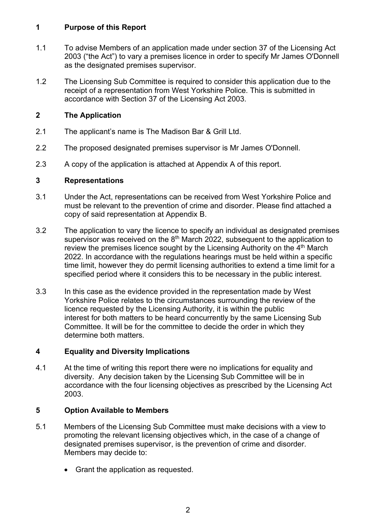#### **1 Purpose of this Report**

- 1.1 To advise Members of an application made under section 37 of the Licensing Act 2003 ("the Act") to vary a premises licence in order to specify Mr James O'Donnell as the designated premises supervisor.
- 1.2 The Licensing Sub Committee is required to consider this application due to the receipt of a representation from West Yorkshire Police. This is submitted in accordance with Section 37 of the Licensing Act 2003.

# **2 The Application**

- 2.1 The applicant's name is The Madison Bar & Grill Ltd.
- 2.2 The proposed designated premises supervisor is Mr James O'Donnell.
- 2.3 A copy of the application is attached at Appendix A of this report.

### **3 Representations**

- 3.1 Under the Act, representations can be received from West Yorkshire Police and must be relevant to the prevention of crime and disorder. Please find attached a copy of said representation at Appendix B.
- 3.2 The application to vary the licence to specify an individual as designated premises supervisor was received on the 8<sup>th</sup> March 2022, subsequent to the application to review the premises licence sought by the Licensing Authority on the 4th March 2022. In accordance with the regulations hearings must be held within a specific time limit, however they do permit licensing authorities to extend a time limit for a specified period where it considers this to be necessary in the public interest.
- 3.3 In this case as the evidence provided in the representation made by West Yorkshire Police relates to the circumstances surrounding the review of the licence requested by the Licensing Authority, it is within the public interest for both matters to be heard concurrently by the same Licensing Sub Committee. It will be for the committee to decide the order in which they determine both matters.

# **4 Equality and Diversity Implications**

4.1 At the time of writing this report there were no implications for equality and diversity. Any decision taken by the Licensing Sub Committee will be in accordance with the four licensing objectives as prescribed by the Licensing Act 2003.

# **5 Option Available to Members**

- 5.1 Members of the Licensing Sub Committee must make decisions with a view to promoting the relevant licensing objectives which, in the case of a change of designated premises supervisor, is the prevention of crime and disorder. Members may decide to:
	- Grant the application as requested.